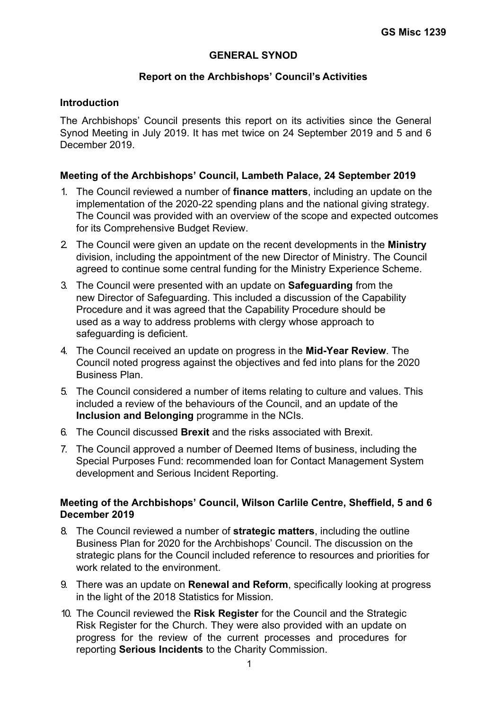# **GENERAL SYNOD**

# **Report on the Archbishops' Council's Activities**

### **Introduction**

The Archbishops' Council presents this report on its activities since the General Synod Meeting in July 2019. It has met twice on 24 September 2019 and 5 and 6 December 2019.

# **Meeting of the Archbishops' Council, Lambeth Palace, 24 September 2019**

- 1. The Council reviewed a number of **finance matters**, including an update on the implementation of the 2020-22 spending plans and the national giving strategy. The Council was provided with an overview of the scope and expected outcomes for its Comprehensive Budget Review.
- 2. The Council were given an update on the recent developments in the **Ministry** division, including the appointment of the new Director of Ministry. The Council agreed to continue some central funding for the Ministry Experience Scheme.
- 3. The Council were presented with an update on **Safeguarding** from the new Director of Safeguarding. This included a discussion of the Capability Procedure and it was agreed that the Capability Procedure should be used as a way to address problems with clergy whose approach to safeguarding is deficient.
- 4. The Council received an update on progress in the **Mid-Year Review**. The Council noted progress against the objectives and fed into plans for the 2020 Business Plan.
- 5. The Council considered a number of items relating to culture and values. This included a review of the behaviours of the Council, and an update of the **Inclusion and Belonging** programme in the NCIs.
- 6. The Council discussed **Brexit** and the risks associated with Brexit.
- 7. The Council approved a number of Deemed Items of business, including the Special Purposes Fund: recommended Ioan for Contact Management System development and Serious Incident Reporting.

### **Meeting of the Archbishops' Council, Wilson Carlile Centre, Sheffield, 5 and 6 December 2019**

- 8. The Council reviewed a number of **strategic matters**, including the outline Business Plan for 2020 for the Archbishops' Council. The discussion on the strategic plans for the Council included reference to resources and priorities for work related to the environment.
- 9. There was an update on **Renewal and Reform**, specifically looking at progress in the light of the 2018 Statistics for Mission.
- 10. The Council reviewed the **Risk Register** for the Council and the Strategic Risk Register for the Church. They were also provided with an update on progress for the review of the current processes and procedures for reporting **Serious Incidents** to the Charity Commission.